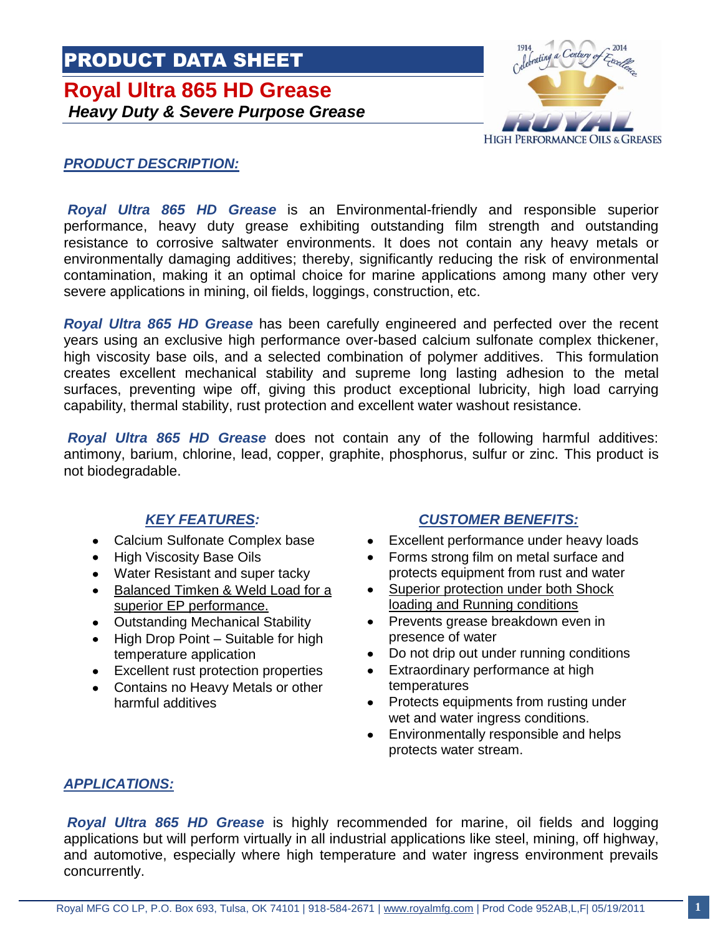# PRODUCT DATA SHEET **Royal Ultra 865 HD Grease** *Heavy Duty & Severe Purpose Grease*



#### *PRODUCT DESCRIPTION:*

*Royal Ultra 865 HD Grease* is an Environmental-friendly and responsible superior performance, heavy duty grease exhibiting outstanding film strength and outstanding resistance to corrosive saltwater environments. It does not contain any heavy metals or environmentally damaging additives; thereby, significantly reducing the risk of environmental contamination, making it an optimal choice for marine applications among many other very severe applications in mining, oil fields, loggings, construction, etc.

*Royal Ultra 865 HD Grease* has been carefully engineered and perfected over the recent years using an exclusive high performance over-based calcium sulfonate complex thickener, high viscosity base oils, and a selected combination of polymer additives. This formulation creates excellent mechanical stability and supreme long lasting adhesion to the metal surfaces, preventing wipe off, giving this product exceptional lubricity, high load carrying capability, thermal stability, rust protection and excellent water washout resistance.

*Royal Ultra 865 HD Grease* does not contain any of the following harmful additives: antimony, barium, chlorine, lead, copper, graphite, phosphorus, sulfur or zinc. This product is not biodegradable.

- Calcium Sulfonate Complex base
- $\bullet$ High Viscosity Base Oils
- Water Resistant and super tacky
- $\bullet$ Balanced Timken & Weld Load for a superior EP performance.
- Outstanding Mechanical Stability
- High Drop Point Suitable for high temperature application
- Excellent rust protection properties  $\bullet$
- Contains no Heavy Metals or other harmful additives

### *KEY FEATURES: CUSTOMER BENEFITS:*

- Excellent performance under heavy loads
- Forms strong film on metal surface and protects equipment from rust and water
- Superior protection under both Shock loading and Running conditions
- Prevents grease breakdown even in presence of water
- Do not drip out under running conditions
- Extraordinary performance at high temperatures
- Protects equipments from rusting under wet and water ingress conditions.
- Environmentally responsible and helps protects water stream.

#### *APPLICATIONS:*

*Royal Ultra 865 HD Grease* is highly recommended for marine, oil fields and logging applications but will perform virtually in all industrial applications like steel, mining, off highway, and automotive, especially where high temperature and water ingress environment prevails concurrently.